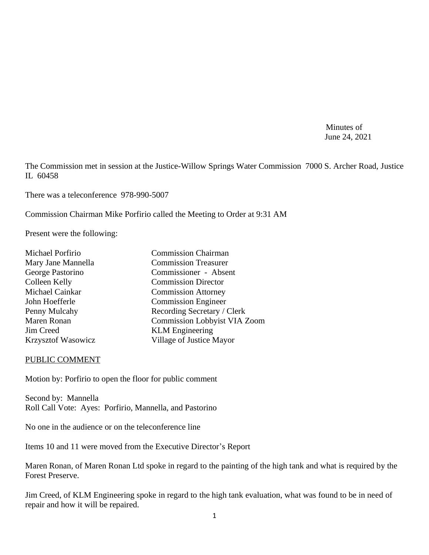Minutes of June 24, 2021

The Commission met in session at the Justice-Willow Springs Water Commission 7000 S. Archer Road, Justice IL 60458

There was a teleconference 978-990-5007

Commission Chairman Mike Porfirio called the Meeting to Order at 9:31 AM

Present were the following:

| Michael Porfirio          | <b>Commission Chairman</b>          |
|---------------------------|-------------------------------------|
| Mary Jane Mannella        | <b>Commission Treasurer</b>         |
| George Pastorino          | Commissioner - Absent               |
| Colleen Kelly             | <b>Commission Director</b>          |
| Michael Cainkar           | <b>Commission Attorney</b>          |
| John Hoefferle            | <b>Commission Engineer</b>          |
| Penny Mulcahy             | Recording Secretary / Clerk         |
| Maren Ronan               | <b>Commission Lobbyist VIA Zoom</b> |
| <b>Jim Creed</b>          | <b>KLM</b> Engineering              |
| <b>Krzysztof Wasowicz</b> | Village of Justice Mayor            |

#### PUBLIC COMMENT

Motion by: Porfirio to open the floor for public comment

Second by: Mannella Roll Call Vote: Ayes: Porfirio, Mannella, and Pastorino

No one in the audience or on the teleconference line

Items 10 and 11 were moved from the Executive Director's Report

Maren Ronan, of Maren Ronan Ltd spoke in regard to the painting of the high tank and what is required by the Forest Preserve.

Jim Creed, of KLM Engineering spoke in regard to the high tank evaluation, what was found to be in need of repair and how it will be repaired.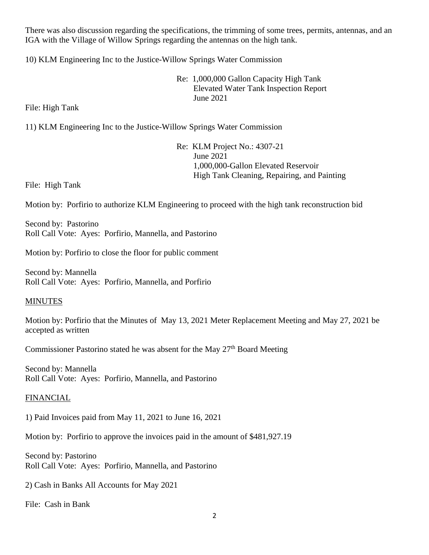There was also discussion regarding the specifications, the trimming of some trees, permits, antennas, and an IGA with the Village of Willow Springs regarding the antennas on the high tank.

10) KLM Engineering Inc to the Justice-Willow Springs Water Commission

Re: 1,000,000 Gallon Capacity High Tank Elevated Water Tank Inspection Report June 2021

File: High Tank

11) KLM Engineering Inc to the Justice-Willow Springs Water Commission

Re: KLM Project No.: 4307-21 June 2021 1,000,000-Gallon Elevated Reservoir High Tank Cleaning, Repairing, and Painting

File: High Tank

Motion by: Porfirio to authorize KLM Engineering to proceed with the high tank reconstruction bid

Second by: Pastorino Roll Call Vote: Ayes: Porfirio, Mannella, and Pastorino

Motion by: Porfirio to close the floor for public comment

Second by: Mannella Roll Call Vote: Ayes: Porfirio, Mannella, and Porfirio

#### MINUTES

Motion by: Porfirio that the Minutes of May 13, 2021 Meter Replacement Meeting and May 27, 2021 be accepted as written

Commissioner Pastorino stated he was absent for the May  $27<sup>th</sup>$  Board Meeting

Second by: Mannella Roll Call Vote: Ayes: Porfirio, Mannella, and Pastorino

#### **FINANCIAL**

1) Paid Invoices paid from May 11, 2021 to June 16, 2021

Motion by: Porfirio to approve the invoices paid in the amount of \$481,927.19

Second by: Pastorino Roll Call Vote: Ayes: Porfirio, Mannella, and Pastorino

2) Cash in Banks All Accounts for May 2021

File: Cash in Bank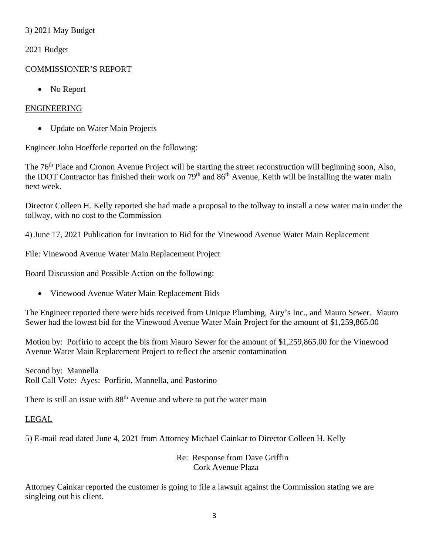### 3) 2021 May Budget

2021 Budget

## COMMISSIONER'S REPORT

• No Report

## ENGINEERING

• Update on Water Main Projects

Engineer John Hoefferle reported on the following:

The 76<sup>th</sup> Place and Cronon Avenue Project will be starting the street reconstruction will beginning soon, Also, the IDOT Contractor has finished their work on  $79<sup>th</sup>$  and  $86<sup>th</sup>$  Avenue, Keith will be installing the water main next week.

Director Colleen H. Kelly reported she had made a proposal to the tollway to install a new water main under the tollway, with no cost to the Commission

4) June 17, 2021 Publication for Invitation to Bid for the Vinewood Avenue Water Main Replacement

File: Vinewood Avenue Water Main Replacement Project

Board Discussion and Possible Action on the following:

• Vinewood Avenue Water Main Replacement Bids

The Engineer reported there were bids received from Unique Plumbing, Airy's Inc., and Mauro Sewer. Mauro Sewer had the lowest bid for the Vinewood Avenue Water Main Project for the amount of \$1,259,865.00

Motion by: Porfirio to accept the bis from Mauro Sewer for the amount of \$1,259,865.00 for the Vinewood Avenue Water Main Replacement Project to reflect the arsenic contamination

Second by: Mannella Roll Call Vote: Ayes: Porfirio, Mannella, and Pastorino

There is still an issue with 88<sup>th</sup> Avenue and where to put the water main

## LEGAL

5) E-mail read dated June 4, 2021 from Attorney Michael Cainkar to Director Colleen H. Kelly

Re: Response from Dave Griffin Cork Avenue Plaza

Attorney Cainkar reported the customer is going to file a lawsuit against the Commission stating we are singleing out his client.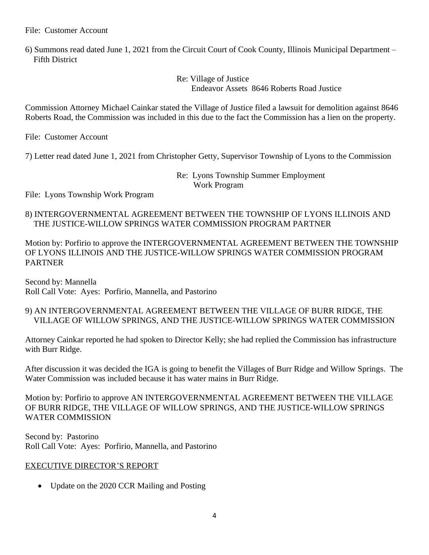File: Customer Account

6) Summons read dated June 1, 2021 from the Circuit Court of Cook County, Illinois Municipal Department – Fifth District

> Re: Village of Justice Endeavor Assets 8646 Roberts Road Justice

Commission Attorney Michael Cainkar stated the Village of Justice filed a lawsuit for demolition against 8646 Roberts Road, the Commission was included in this due to the fact the Commission has a lien on the property.

File: Customer Account

7) Letter read dated June 1, 2021 from Christopher Getty, Supervisor Township of Lyons to the Commission

Re: Lyons Township Summer Employment Work Program

File: Lyons Township Work Program

## 8) INTERGOVERNMENTAL AGREEMENT BETWEEN THE TOWNSHIP OF LYONS ILLINOIS AND THE JUSTICE-WILLOW SPRINGS WATER COMMISSION PROGRAM PARTNER

Motion by: Porfirio to approve the INTERGOVERNMENTAL AGREEMENT BETWEEN THE TOWNSHIP OF LYONS ILLINOIS AND THE JUSTICE-WILLOW SPRINGS WATER COMMISSION PROGRAM PARTNER

Second by: Mannella Roll Call Vote: Ayes: Porfirio, Mannella, and Pastorino

### 9) AN INTERGOVERNMENTAL AGREEMENT BETWEEN THE VILLAGE OF BURR RIDGE, THE VILLAGE OF WILLOW SPRINGS, AND THE JUSTICE-WILLOW SPRINGS WATER COMMISSION

Attorney Cainkar reported he had spoken to Director Kelly; she had replied the Commission has infrastructure with Burr Ridge.

After discussion it was decided the IGA is going to benefit the Villages of Burr Ridge and Willow Springs. The Water Commission was included because it has water mains in Burr Ridge.

Motion by: Porfirio to approve AN INTERGOVERNMENTAL AGREEMENT BETWEEN THE VILLAGE OF BURR RIDGE, THE VILLAGE OF WILLOW SPRINGS, AND THE JUSTICE-WILLOW SPRINGS WATER COMMISSION

Second by: Pastorino Roll Call Vote: Ayes: Porfirio, Mannella, and Pastorino

#### EXECUTIVE DIRECTOR'S REPORT

• Update on the 2020 CCR Mailing and Posting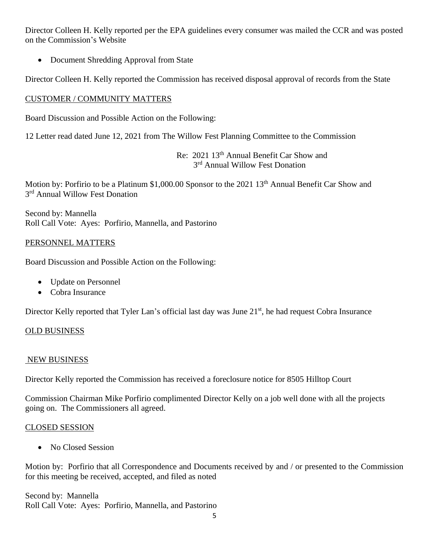Director Colleen H. Kelly reported per the EPA guidelines every consumer was mailed the CCR and was posted on the Commission's Website

• Document Shredding Approval from State

Director Colleen H. Kelly reported the Commission has received disposal approval of records from the State

# CUSTOMER / COMMUNITY MATTERS

Board Discussion and Possible Action on the Following:

12 Letter read dated June 12, 2021 from The Willow Fest Planning Committee to the Commission

Re: 2021 13<sup>th</sup> Annual Benefit Car Show and 3<sup>rd</sup> Annual Willow Fest Donation

Motion by: Porfirio to be a Platinum \$1,000.00 Sponsor to the 2021 13<sup>th</sup> Annual Benefit Car Show and 3<sup>rd</sup> Annual Willow Fest Donation

Second by: Mannella Roll Call Vote: Ayes: Porfirio, Mannella, and Pastorino

## PERSONNEL MATTERS

Board Discussion and Possible Action on the Following:

- Update on Personnel
- Cobra Insurance

Director Kelly reported that Tyler Lan's official last day was June 21<sup>st</sup>, he had request Cobra Insurance

## OLD BUSINESS

## NEW BUSINESS

Director Kelly reported the Commission has received a foreclosure notice for 8505 Hilltop Court

Commission Chairman Mike Porfirio complimented Director Kelly on a job well done with all the projects going on. The Commissioners all agreed.

## CLOSED SESSION

• No Closed Session

Motion by: Porfirio that all Correspondence and Documents received by and / or presented to the Commission for this meeting be received, accepted, and filed as noted

Second by: Mannella Roll Call Vote: Ayes: Porfirio, Mannella, and Pastorino